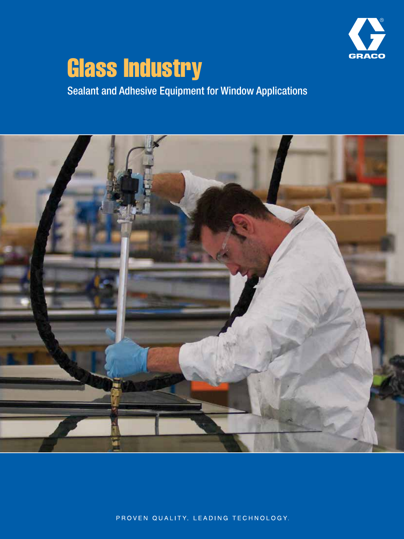

# Glass Industry

Sealant and Adhesive Equipment for Window Applications



PROVEN QUALITY. LEADING TECHNOLOGY.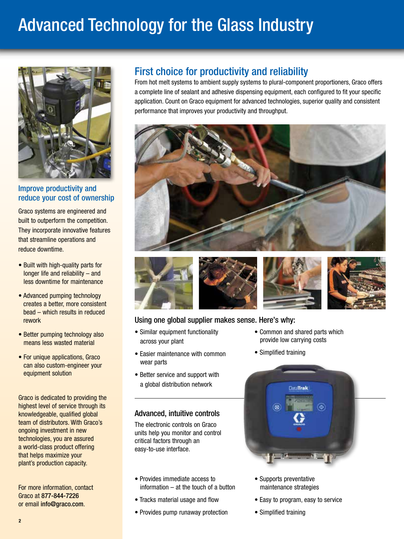# Advanced Technology for the Glass Industry



Improve productivity and reduce your cost of ownership

Graco systems are engineered and built to outperform the competition. They incorporate innovative features that streamline operations and reduce downtime.

- Built with high-quality parts for longer life and reliability – and less downtime for maintenance
- Advanced pumping technology creates a better, more consistent bead – which results in reduced rework
- Better pumping technology also means less wasted material
- For unique applications, Graco can also custom-engineer your equipment solution

Graco is dedicated to providing the highest level of service through its knowledgeable, qualified global team of distributors. With Graco's ongoing investment in new technologies, you are assured a world-class product offering that helps maximize your plant's production capacity.

For more information, contact Graco at 877-844-7226 or email info@graco.com.

# First choice for productivity and reliability

From hot melt systems to ambient supply systems to plural-component proportioners, Graco offers a complete line of sealant and adhesive dispensing equipment, each configured to fit your specific application. Count on Graco equipment for advanced technologies, superior quality and consistent performance that improves your productivity and throughput.





### Using one global supplier makes sense. Here's why:

- Similar equipment functionality across your plant
- Easier maintenance with common wear parts
- Better service and support with a global distribution network

### Advanced, intuitive controls

The electronic controls on Graco units help you monitor and control critical factors through an easy-to-use interface.

- Provides immediate access to information – at the touch of a button
- Tracks material usage and flow
- Provides pump runaway protection
- Common and shared parts which
- Simplified training



- Supports preventative maintenance strategies
- Easy to program, easy to service
- Simplified training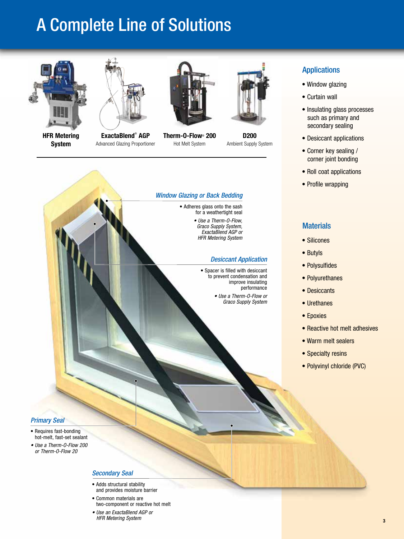# A Complete Line of Solutions



HFR Metering System



ExactaBlend® AGP Advanced Glazing Proportioner



Therm-O-Flow® 200 Hot Melt System

*Window Glazing or Back Bedding*

• Adheres glass onto the sash for a weathertight seal *• Use a Therm-O-Flow, Graco Supply System, ExactaBlend AGP or HFR Metering System*



D200 Ambient Supply System

*Desiccant Application* • Spacer is filled with desiccant to prevent condensation and improve insulating performance

> *• Use a Therm-O-Flow or Graco Supply System*

## Applications

- Window glazing
- Curtain wall
- Insulating glass processes such as primary and secondary sealing
- Desiccant applications
- Corner key sealing / corner joint bonding
- Roll coat applications
- Profile wrapping

## **Materials**

- Silicones
- Butyls
- Polysulfides
- Polyurethanes
- Desiccants
- Urethanes
- Epoxies
- Reactive hot melt adhesives
- Warm melt sealers
- Specialty resins
- Polyvinyl chloride (PVC)

*Primary Seal*

- Requires fast-bonding hot-melt, fast-set sealant
- *Use a Therm-O-Flow 200 or Therm-O-Flow 20*

#### *Secondary Seal*

- Adds structural stability and provides moisture barrier
- Common materials are two-component or reactive hot melt
- *Use an ExactaBlend AGP or HFR Metering System*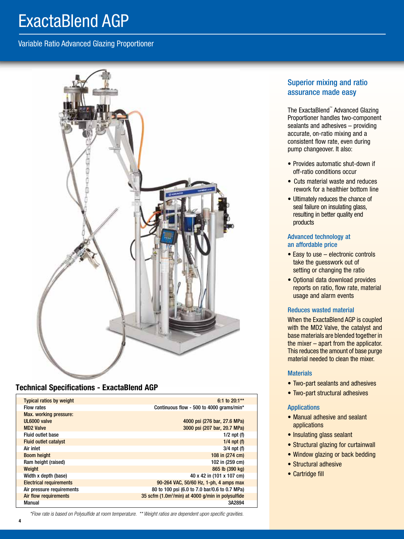# ExactaBlend AGP

Variable Ratio Advanced Glazing Proportioner



# Technical Specifications - ExactaBlend AGP

| <b>Typical ratios by weight</b> | $6:1$ to $20:1**$                                             |
|---------------------------------|---------------------------------------------------------------|
| Flow rates                      | Continuous flow - 500 to 4000 grams/min*                      |
| <b>Max. working pressure:</b>   |                                                               |
| UL6000 valve                    | 4000 psi (276 bar, 27.6 MPa)                                  |
| <b>MD2 Valve</b>                | 3000 psi (207 bar, 20.7 MPa)                                  |
| <b>Fluid outlet base</b>        | $1/2$ npt (f)                                                 |
| <b>Fluid outlet catalyst</b>    | $1/4$ npt (f)                                                 |
| Air inlet                       | $3/4$ npt (f)                                                 |
| <b>Boom height</b>              | 108 in (274 cm)                                               |
| Ram height (raised)             | 102 in (259 cm)                                               |
| Weight                          | 865 lb (390 kg)                                               |
| Width x depth (base)            | 40 x 42 in (101 x 107 cm)                                     |
| <b>Electrical requirements</b>  | 90-264 VAC, 50/60 Hz, 1-ph, 4 amps max                        |
| Air pressure requirements       | 80 to 100 psi (6.0 to 7.0 bar/0.6 to 0.7 MPa)                 |
| Air flow requirements           | 35 scfm (1.0m <sup>3</sup> /min) at 4000 q/min in polysulfide |
| Manual                          | 3A2894                                                        |

# The ExactaBlend™ Advanced Glazing Proportioner handles two-component

sealants and adhesives – providing accurate, on-ratio mixing and a consistent flow rate, even during pump changeover. It also:

Superior mixing and ratio assurance made easy

- Provides automatic shut-down if off-ratio conditions occur
- Cuts material waste and reduces rework for a healthier bottom line
- Ultimately reduces the chance of seal failure on insulating glass, resulting in better quality end products

#### Advanced technology at an affordable price

- Easy to use electronic controls take the guesswork out of setting or changing the ratio
- Optional data download provides reports on ratio, flow rate, material usage and alarm events

#### Reduces wasted material

When the ExactaBlend AGP is coupled with the MD2 Valve, the catalyst and base materials are blended together in the mixer – apart from the applicator. This reduces the amount of base purge material needed to clean the mixer.

#### **Materials**

- Two-part sealants and adhesives
- Two-part structural adhesives

#### Applications

- Manual adhesive and sealant applications
- Insulating glass sealant
- Structural glazing for curtainwall
- Window glazing or back bedding
- Structural adhesive
- Cartridge fill

*\*Flow rate is based on Polysulfide at room temperature. \*\* Weight ratios are dependent upon specific gravities.*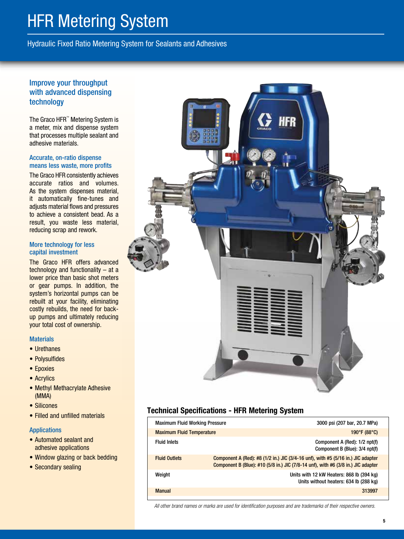# HFR Metering System

Hydraulic Fixed Ratio Metering System for Sealants and Adhesives

## Improve your throughput with advanced dispensing technology

The Graco HFR™ Metering System is a meter, mix and dispense system that processes multiple sealant and adhesive materials.

#### Accurate, on-ratio dispense means less waste, more profits

The Graco HFR consistently achieves accurate ratios and volumes. As the system dispenses material, it automatically fine-tunes and adjusts material flows and pressures to achieve a consistent bead. As a result, you waste less material, reducing scrap and rework.

#### More technology for less capital investment

The Graco HFR offers advanced technology and functionality  $-$  at a lower price than basic shot meters or gear pumps. In addition, the system's horizontal pumps can be rebuilt at your facility, eliminating costly rebuilds, the need for backup pumps and ultimately reducing your total cost of ownership.

#### **Materials**

- Urethanes
- Polysulfides
- Epoxies
- Acrylics
- Methyl Methacrylate Adhesive (MMA)
- Silicones
- Filled and unfilled materials

#### Applications

- Automated sealant and adhesive applications
- Window glazing or back bedding
- Secondary sealing



# Technical Specifications - HFR Metering System

| <b>Maximum Fluid Working Pressure</b> |                                                                                                                                                                       | 3000 psi (207 bar, 20.7 MPa)                                                        |
|---------------------------------------|-----------------------------------------------------------------------------------------------------------------------------------------------------------------------|-------------------------------------------------------------------------------------|
| <b>Maximum Fluid Temperature</b>      |                                                                                                                                                                       | 190°F (88°C)                                                                        |
| <b>Fluid Inlets</b>                   |                                                                                                                                                                       | Component A (Red): 1/2 npt(f)<br>Component B (Blue): 3/4 npt(f)                     |
| <b>Fluid Outlets</b>                  | Component A (Red): #8 (1/2 in.) JIC (3/4-16 unf), with #5 (5/16 in.) JIC adapter<br>Component B (Blue): #10 (5/8 in.) JIC (7/8-14 unf), with #6 (3/8 in.) JIC adapter |                                                                                     |
| Weight                                |                                                                                                                                                                       | Units with 12 kW Heaters: 868 lb (394 kg)<br>Units without heaters: 634 lb (288 kg) |
| <b>Manual</b>                         |                                                                                                                                                                       | 313997                                                                              |

*All other brand names or marks are used for identification purposes and are trademarks of their respective owners.*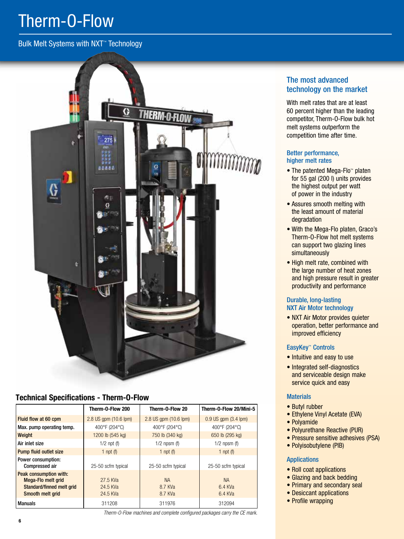# Therm-O-Flow

Bulk Melt Systems with NXT™ Technology



# Technical Specifications - Therm-O-Flow

|                                                                                                             | Therm-0-Flow 200                 | Therm-0-Flow 20                 | Therm-O-Flow 20/Mini-5          |  |
|-------------------------------------------------------------------------------------------------------------|----------------------------------|---------------------------------|---------------------------------|--|
| Fluid flow at 60 cpm                                                                                        | 2.8 US gpm (10.6 lpm)            | 2.8 US gpm (10.6 lpm)           | $0.9$ US gpm $(3.4$ lpm)        |  |
| Max. pump operating temp.                                                                                   | 400°F (204°C)                    | 400°F (204°C)                   | 400°F (204°C)                   |  |
| Weight                                                                                                      | 1200 lb (545 kg)                 | 750 lb (340 kg)                 | 650 lb (295 kg)                 |  |
| Air inlet size                                                                                              | $1/2$ npt (f)                    | $1/2$ npsm (f)                  | $1/2$ npsm (f)                  |  |
| <b>Pump fluid outlet size</b>                                                                               | 1 npt $(f)$                      | 1 npt $(f)$                     | 1 npt $(f)$                     |  |
| Power consumption:<br>Compressed air                                                                        | 25-50 scfm typical               | 25-50 scfm typical              | 25-50 scfm typical              |  |
| <b>Peak consumption with:</b><br><b>Mega-Flo melt grid</b><br>Standard/finned melt grid<br>Smooth melt grid | 27.5 KVa<br>24.5 KVa<br>24.5 KVa | <b>NA</b><br>8.7 KVa<br>8.7 KVa | <b>NA</b><br>6.4 KVa<br>6.4 KVa |  |
| Manuals<br>311208                                                                                           |                                  | 311976                          | 312094                          |  |

*Therm-O-Flow machines and complete configured packages carry the CE mark.*

# The most advanced technology on the market

With melt rates that are at least 60 percent higher than the leading competitor, Therm-O-Flow bulk hot melt systems outperform the competition time after time.

#### Better performance, higher melt rates

- The patented Mega-Flo™ platen for 55 gal (200 l) units provides the highest output per watt of power in the industry
- Assures smooth melting with the least amount of material degradation
- With the Mega-Flo platen, Graco's Therm-O-Flow hot melt systems can support two glazing lines simultaneously
- High melt rate, combined with the large number of heat zones and high pressure result in greater productivity and performance

#### Durable, long-lasting NXT Air Motor technology

• NXT Air Motor provides quieter operation, better performance and improved efficiency

#### EasyKey™ Controls

- Intuitive and easy to use
- Integrated self-diagnostics and serviceable design make service quick and easy

#### **Materials**

- Butyl rubber
- Ethylene Vinyl Acetate (EVA)
- Polyamide
- Polyurethane Reactive (PUR)
- Pressure sensitive adhesives (PSA)
- Polyisobutylene (PIB)

#### **Applications**

- Roll coat applications
- Glazing and back bedding
- Primary and secondary seal
- Desiccant applications
- Profile wrapping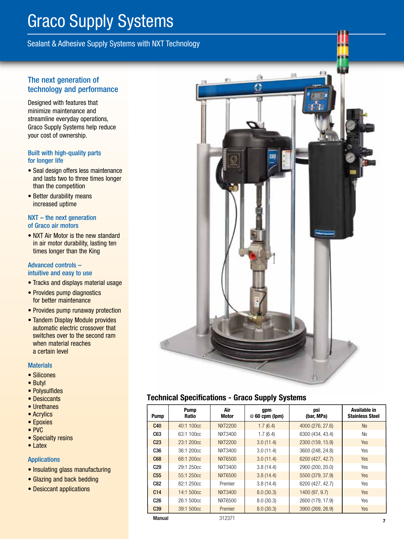# Graco Supply Systems

Sealant & Adhesive Supply Systems with NXT Technology

# The next generation of technology and performance

Designed with features that minimize maintenance and streamline everyday operations, Graco Supply Systems help reduce your cost of ownership.

### Built with high-quality parts for longer life

- Seal design offers less maintenance and lasts two to three times longer than the competition
- Better durability means increased uptime

#### NXT – the next generation of Graco air motors

• NXT Air Motor is the new standard in air motor durability, lasting ten times longer than the King

#### Advanced controls – intuitive and easy to use

• Tracks and displays material usage

- Provides pump diagnostics for better maintenance
- Provides pump runaway protection
- Tandem Display Module provides automatic electric crossover that switches over to the second ram when material reaches a certain level

#### **Materials**

- Silicones
- Butyl
- Polysulfides
- Desiccants
- Urethanes
- Acrylics
- Epoxies
- PVC
- Specialty resins
- Latex

#### Applications

- Insulating glass manufacturing
- Glazing and back bedding
- Desiccant applications



# Technical Specifications - Graco Supply Systems

| Pump            | Pump<br><b>Ratio</b> | Air<br>Motor   | gpm<br>@ 60 cpm (lpm) | psi<br>(bar, MPa) | Available in<br><b>Stainless Steel</b> |
|-----------------|----------------------|----------------|-----------------------|-------------------|----------------------------------------|
| C <sub>40</sub> | 40:1 100cc           | <b>NXT2200</b> | 1.7(6.4)              | 4000 (276, 27.6)  | N <sub>o</sub>                         |
| C63             | 63:1 100cc           | NXT3400        | 1.7(6.4)              | 6300 (434, 43.4)  | No                                     |
| C <sub>23</sub> | 23:1 200cc           | NXT2200        | 3.0(11.4)             | 2300 (159, 15.9)  | <b>Yes</b>                             |
| <b>C36</b>      | 36:1 200cc           | NXT3400        | 3.0(11.4)             | 3600 (248, 24.8)  | <b>Yes</b>                             |
| C68             | 68:1 200cc           | NXT6500        | 3.0(11.4)             | 6200 (427, 42.7)  | Yes                                    |
| <b>C29</b>      | 29:1 250cc           | NXT3400        | 3.8(14.4)             | 2900 (200, 20.0)  | <b>Yes</b>                             |
| C <sub>55</sub> | 55:1 250cc           | NXT6500        | 3.8(14.4)             | 5500 (379, 37.9)  | <b>Yes</b>                             |
| C82             | 82:1 250cc           | Premier        | 3.8(14.4)             | 6200 (427, 42.7)  | Yes                                    |
| C <sub>14</sub> | 14:1 500cc           | NXT3400        | 8.0(30.3)             | 1400 (97, 9.7)    | <b>Yes</b>                             |
| C <sub>26</sub> | 26:1 500cc           | NXT6500        | 8.0(30.3)             | 2600 (179, 17.9)  | <b>Yes</b>                             |
| C39             | 39:1 500cc           | Premier        | 8.0(30.3)             | 3900 (269, 26.9)  | Yes                                    |
| <b>Manual</b>   |                      | 312371         |                       |                   | $\overline{\phantom{a}}$               |